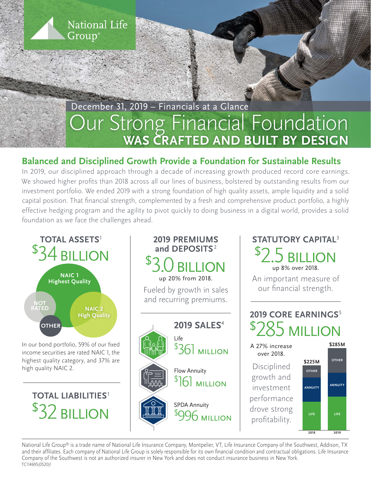

## Our Strong Financial Foundation **WAS CRAFTED AND BUILT BY DESIGN** December 31, 2019 – Financials at a Glance

## **Balanced and Disciplined Growth Provide a Foundation for Sustainable Results**

In 2019, our disciplined approach through a decade of increasing growth produced record core earnings. We showed higher profits than 2018 across all our lines of business, bolstered by outstanding results from our investment portfolio. We ended 2019 with a strong foundation of high quality assets, ample liquidity and a solid capital position. That financial strength, complemented by a fresh and comprehensive product portfolio, a highly effective hedging program and the agility to pivot quickly to doing business in a digital world, provides a solid foundation as we face the challenges ahead.



National Life Group® is a trade name of National Life Insurance Company, Montpelier, VT, Life Insurance Company of the Southwest, Addison, TX and their affiliates. Each company of National Life Group is solely responsible for its own financial condition and contractual obligations. Life Insurance Company of the Southwest is not an authorized insurer in New York and does not conduct insurance business in New York. TC114695(0520)1

**LIFE LIFE**

**2018**

profitability.

**2019**